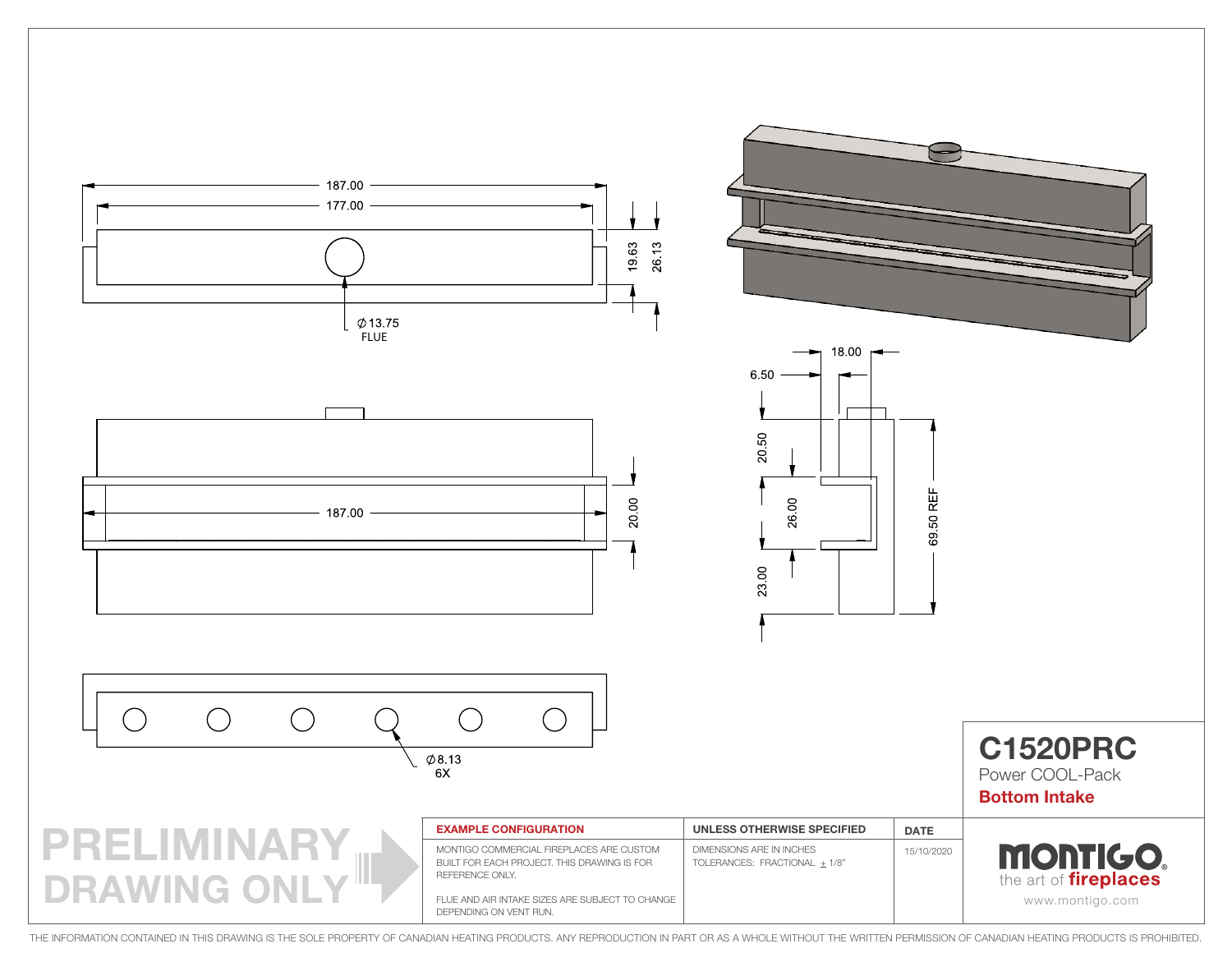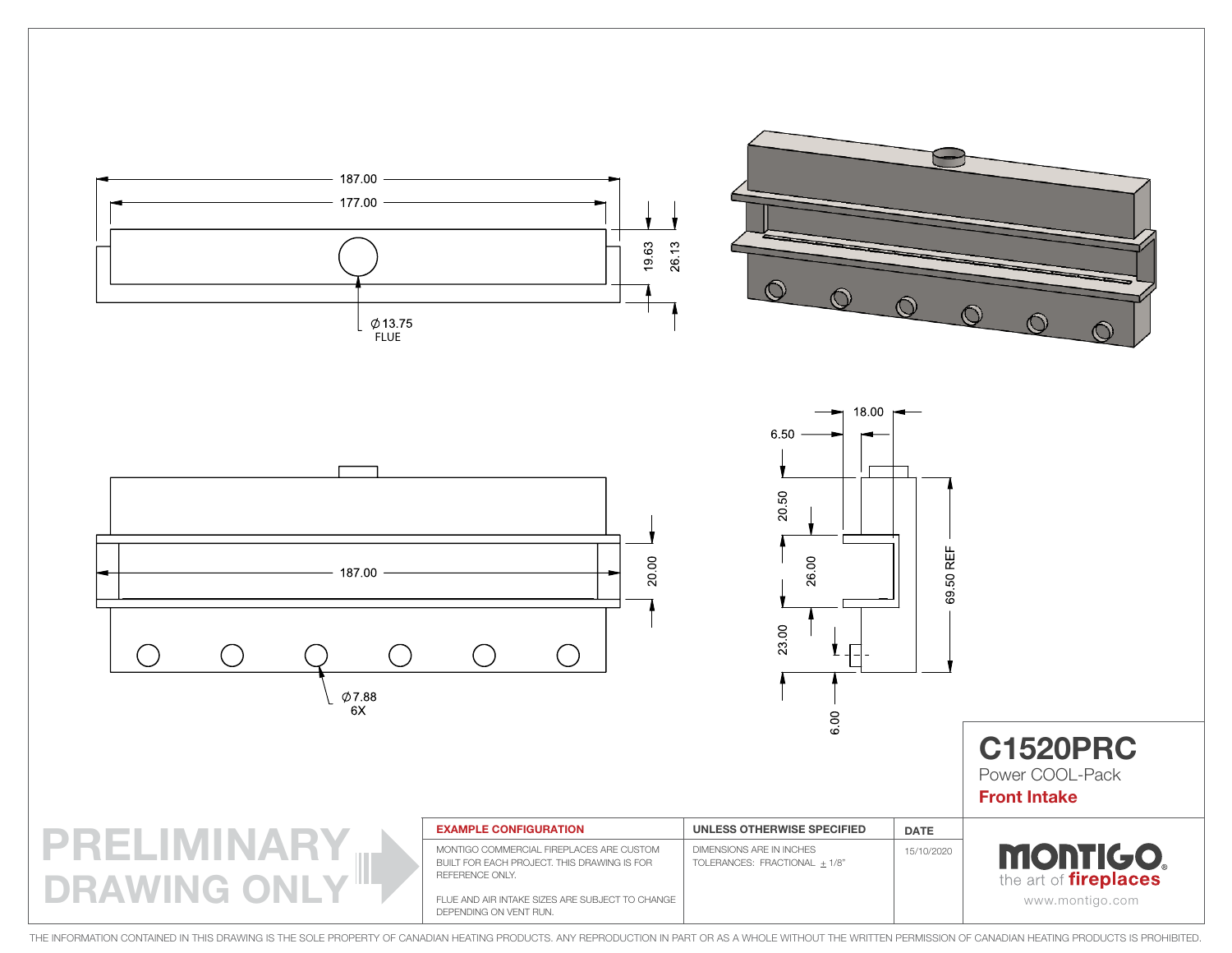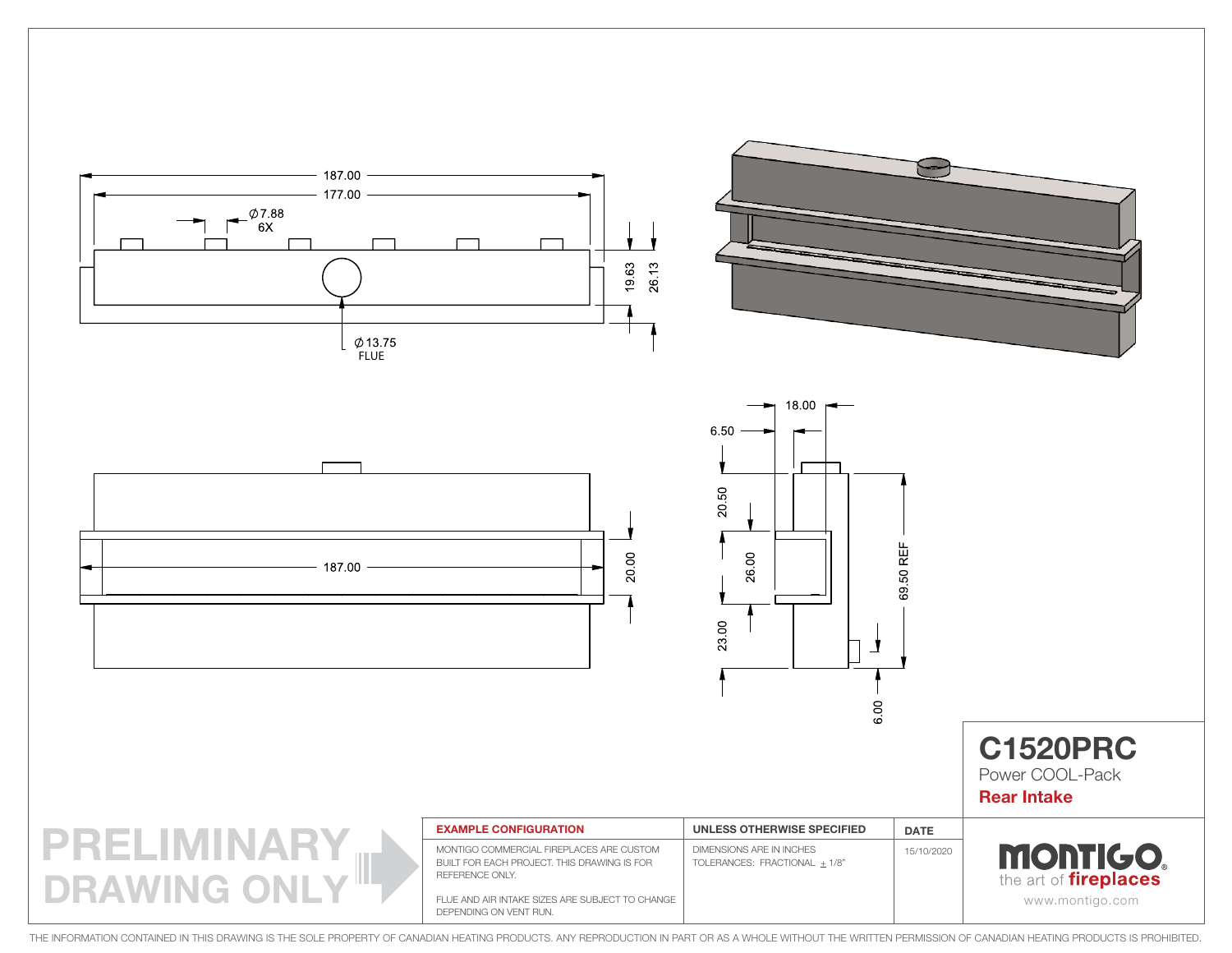